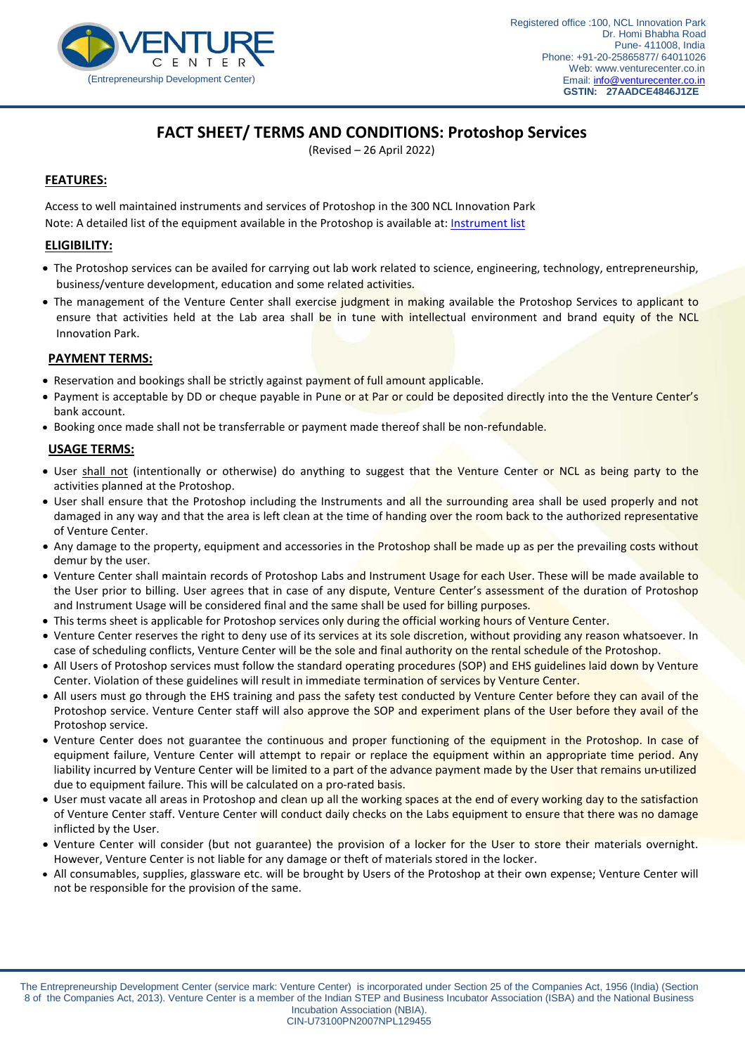

# **FACT SHEET/ TERMS AND CONDITIONS: Protoshop Services**

(Revised – 26 April 2022)

# **FEATURES:**

Note: A detailed list of the equipment available in the Protoshop is available at: <u>[Instrument list](http://tinkeringlab.co.in/wp-content/uploads/2019/09/Resources-Protoshop-service-PS01.pdf)</u> Access to well maintained instruments and services of Protoshop in the 300 NCL Innovation Park

## **ELIGIBILITY:**

- The Protoshop services can be availed for carrying out lab work related to science, engineering, technology, entrepreneurship, business/venture development, education and some related activities.
- The management of the Venture Center shall exercise judgment in making available the Protoshop Services to applicant to ensure that activities held at the Lab area shall be in tune with intellectual environment and brand equity of the NCL Innovation Park.

### **PAYMENT TERMS:**

- Reservation and bookings shall be strictly against payment of full amount applicable.
- Payment is acceptable by DD or cheque payable in Pune or at Par or could be deposited directly into the the Venture Center's bank account.
- Booking once made shall not be transferrable or payment made thereof shall be non-refundable.

#### **USAGE TERMS:**

- User shall not (intentionally or otherwise) do anything to suggest that the Venture Center or NCL as being party to the activities planned at the Protoshop.
- User shall ensure that the Protoshop including the Instruments and all the surrounding area shall be used properly and not damaged in any way and that the area is left clean at the time of handing over the room back to the authorized representative of Venture Center.
- Any damage to the property, equipment and accessories in the Protoshop shall be made up as per the prevailing costs without demur by the user.
- Venture Center shall maintain records of Protoshop Labs and Instrument Usage for each User. These will be made available to the User prior to billing. User agrees that in case of any dispute, Venture Center's assessment of the duration of Protoshop and Instrument Usage will be considered final and the same shall be used for billing purposes.
- This terms sheet is applicable for Protoshop services only during the official working hours of Venture Center.
- Venture Center reserves the right to deny use of its services at its sole discretion, without providing any reason whatsoever. In case of scheduling conflicts, Venture Center will be the sole and final authority on the rental schedule of the Protoshop.
- All Users of Protoshop services must follow the standard operating procedures (SOP) and EHS guidelines laid down by Venture Center. Violation of these guidelines will result in immediate termination of services by Venture Center.
- All users must go through the EHS training and pass the safety test conducted by Venture Center before they can avail of the Protoshop service. Venture Center staff will also approve the SOP and experiment plans of the User before they avail of the Protoshop service.
- Venture Center does not guarantee the continuous and proper functioning of the equipment in the Protoshop. In case of equipment failure, Venture Center will attempt to repair or replace the equipment within an appropriate time period. Any liability incurred by Venture Center will be limited to a part of the advance payment made by the User that remains un-utilized due to equipment failure. This will be calculated on a pro-rated basis.
- User must vacate all areas in Protoshop and clean up all the working spaces at the end of every working day to the satisfaction of Venture Center staff. Venture Center will conduct daily checks on the Labs equipment to ensure that there was no damage inflicted by the User.
- Venture Center will consider (but not guarantee) the provision of a locker for the User to store their materials overnight. However, Venture Center is not liable for any damage or theft of materials stored in the locker.
- All consumables, supplies, glassware etc. will be brought by Users of the Protoshop at their own expense; Venture Center will not be responsible for the provision of the same.